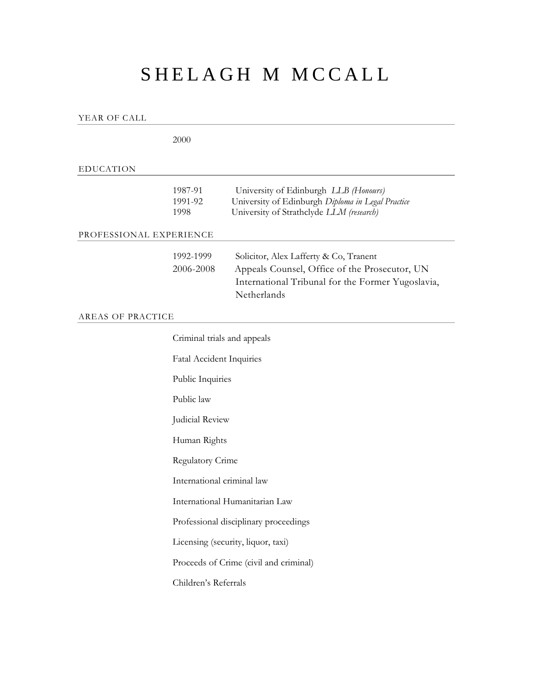# SHELAGH M MCCALL

YEAR OF CALL

|                         | 2000                                   |                                                                                                                                                             |
|-------------------------|----------------------------------------|-------------------------------------------------------------------------------------------------------------------------------------------------------------|
| <b>EDUCATION</b>        |                                        |                                                                                                                                                             |
|                         | 1987-91<br>1991-92<br>1998             | University of Edinburgh LLB (Honours)<br>University of Edinburgh Diploma in Legal Practice<br>University of Strathclyde LLM (research)                      |
| PROFESSIONAL EXPERIENCE |                                        |                                                                                                                                                             |
|                         | 1992-1999<br>2006-2008                 | Solicitor, Alex Lafferty & Co, Tranent<br>Appeals Counsel, Office of the Prosecutor, UN<br>International Tribunal for the Former Yugoslavia,<br>Netherlands |
| AREAS OF PRACTICE       |                                        |                                                                                                                                                             |
|                         | Criminal trials and appeals            |                                                                                                                                                             |
|                         | <b>Fatal Accident Inquiries</b>        |                                                                                                                                                             |
|                         | Public Inquiries                       |                                                                                                                                                             |
|                         | Public law                             |                                                                                                                                                             |
|                         | Judicial Review                        |                                                                                                                                                             |
|                         | Human Rights                           |                                                                                                                                                             |
|                         | <b>Regulatory Crime</b>                |                                                                                                                                                             |
|                         | International criminal law             |                                                                                                                                                             |
|                         | International Humanitarian Law         |                                                                                                                                                             |
|                         | Professional disciplinary proceedings  |                                                                                                                                                             |
|                         | Licensing (security, liquor, taxi)     |                                                                                                                                                             |
|                         | Proceeds of Crime (civil and criminal) |                                                                                                                                                             |
|                         | Children's Referrals                   |                                                                                                                                                             |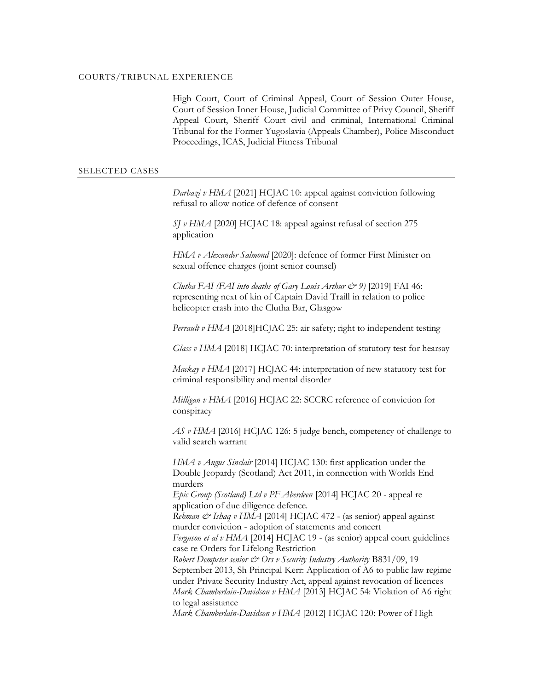High Court, Court of Criminal Appeal, Court of Session Outer House, Court of Session Inner House, Judicial Committee of Privy Council, Sheriff Appeal Court, Sheriff Court civil and criminal, International Criminal Tribunal for the Former Yugoslavia (Appeals Chamber), Police Misconduct Proceedings, ICAS, Judicial Fitness Tribunal

#### SELECTED CASES

*Darbazi v HMA* [2021] HCJAC 10: appeal against conviction following refusal to allow notice of defence of consent

*SJ v HMA* [2020] HCJAC 18: appeal against refusal of section 275 application

*HMA v Alexander Salmond* [2020]: defence of former First Minister on sexual offence charges (joint senior counsel)

*Clutha FAI (FAI into deaths of Gary Louis Arthur*  $\mathcal{Q}$  9) [2019] FAI 46: representing next of kin of Captain David Traill in relation to police helicopter crash into the Clutha Bar, Glasgow

*Perrault v HMA* [2018]HCJAC 25: air safety; right to independent testing

*Glass v HMA* [2018] HCJAC 70: interpretation of statutory test for hearsay

*Mackay v HMA* [2017] HCJAC 44: interpretation of new statutory test for criminal responsibility and mental disorder

*Milligan v HMA* [2016] HCJAC 22: SCCRC reference of conviction for conspiracy

*AS v HMA* [2016] HCJAC 126: 5 judge bench, competency of challenge to valid search warrant

*HMA v Angus Sinclair* [2014] HCJAC 130: first application under the Double Jeopardy (Scotland) Act 2011, in connection with Worlds End murders

*Epic Group (Scotland) Ltd v PF Aberdeen* [2014] HCJAC 20 - appeal re application of due diligence defence.

*Rehman & Ishaq v HMA* [2014] HCJAC 472 - (as senior) appeal against murder conviction - adoption of statements and concert

*Ferguson et al v HMA* [2014] HCJAC 19 - (as senior) appeal court guidelines case re Orders for Lifelong Restriction

*Robert Dempster senior & Ors v Security Industry Authority* B831/09, 19 September 2013, Sh Principal Kerr: Application of A6 to public law regime under Private Security Industry Act, appeal against revocation of licences *Mark Chamberlain-Davidson v HMA* [2013] HCJAC 54: Violation of A6 right to legal assistance

*Mark Chamberlain-Davidson v HMA* [2012] HCJAC 120: Power of High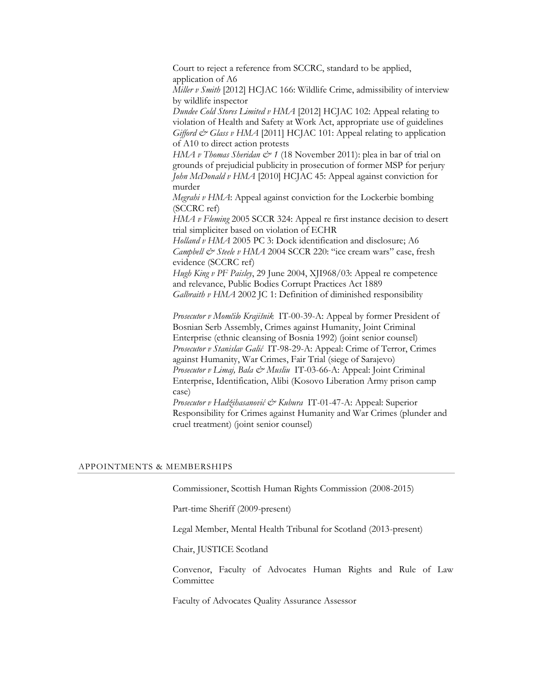Court to reject a reference from SCCRC, standard to be applied, application of A6

*Miller v Smith* [2012] HCJAC 166: Wildlife Crime, admissibility of interview by wildlife inspector

*Dundee Cold Stores Limited v HMA* [2012] HCJAC 102: Appeal relating to violation of Health and Safety at Work Act, appropriate use of guidelines *Gifford & Glass v HMA* [2011] HCJAC 101: Appeal relating to application of A10 to direct action protests

*HMA v Thomas Sheridan & 1* (18 November 2011): plea in bar of trial on grounds of prejudicial publicity in prosecution of former MSP for perjury *John McDonald v HMA* [2010] HCJAC 45: Appeal against conviction for murder

*Megrahi v HMA*: Appeal against conviction for the Lockerbie bombing (SCCRC ref)

*HMA v Fleming* 2005 SCCR 324: Appeal re first instance decision to desert trial simpliciter based on violation of ECHR

*Holland v HMA* 2005 PC 3: Dock identification and disclosure; A6 *Campbell & Steele v HMA* 2004 SCCR 220: "ice cream wars" case, fresh evidence (SCCRC ref)

*Hugh King v PF Paisley*, 29 June 2004, XJI968/03: Appeal re competence and relevance, Public Bodies Corrupt Practices Act 1889 *Galbraith v HMA* 2002 JC 1: Definition of diminished responsibility

*Prosecutor v Momčilo Krajišnik* IT-00-39-A: Appeal by former President of Bosnian Serb Assembly, Crimes against Humanity, Joint Criminal Enterprise (ethnic cleansing of Bosnia 1992) (joint senior counsel) *Prosecutor v Stanislav Galić* IT-98-29-A: Appeal: Crime of Terror, Crimes against Humanity, War Crimes, Fair Trial (siege of Sarajevo) *Prosecutor v Limaj, Bala & Musliu* IT-03-66-A: Appeal: Joint Criminal Enterprise, Identification, Alibi (Kosovo Liberation Army prison camp case)

*Prosecutor v Hadžihasanović & Kubura* IT-01-47-A: Appeal: Superior Responsibility for Crimes against Humanity and War Crimes (plunder and cruel treatment) (joint senior counsel)

### APPOINTMENTS & MEMBERSHIPS

Commissioner, Scottish Human Rights Commission (2008-2015)

Part-time Sheriff (2009-present)

Legal Member, Mental Health Tribunal for Scotland (2013-present)

Chair, JUSTICE Scotland

Convenor, Faculty of Advocates Human Rights and Rule of Law Committee

Faculty of Advocates Quality Assurance Assessor